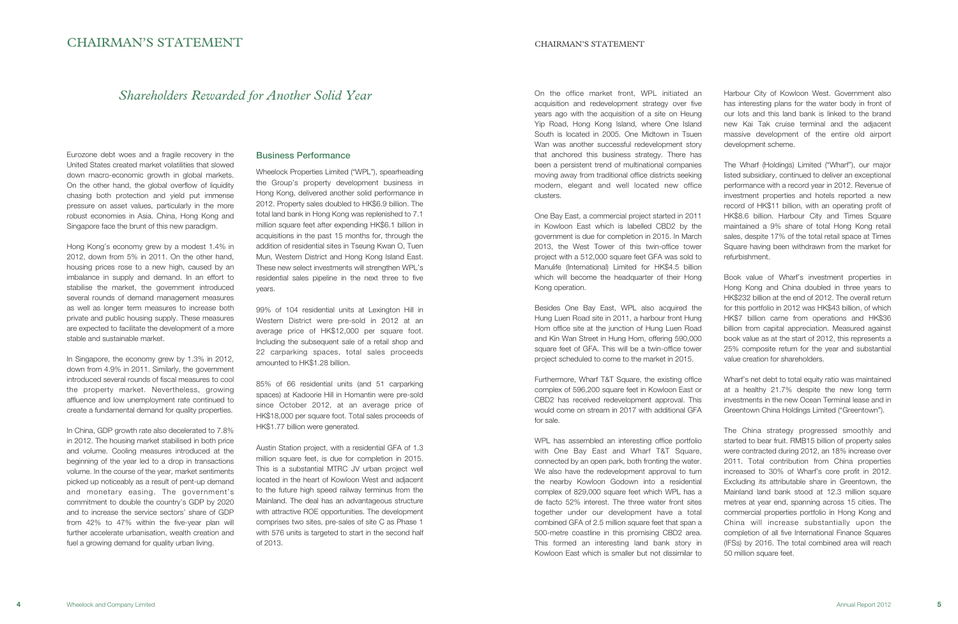# CHAIRMAN'S STATEMENT CHAIRMAN'S STATEMENT

Harbour City of Kowloon West. Government also has interesting plans for the water body in front of our lots and this land bank is linked to the brand new Kai Tak cruise terminal and the adjacent massive development of the entire old airport development scheme.

The Wharf (Holdings) Limited ("Wharf"), our major listed subsidiary, continued to deliver an exceptional performance with a record year in 2012. Revenue of investment properties and hotels reported a new record of HK\$11 billion, with an operating profit of HK\$8.6 billion. Harbour City and Times Square maintained a 9% share of total Hong Kong retail sales, despite 17% of the total retail space at Times Square having been withdrawn from the market for refurbishment.

Book value of Wharf's investment properties in Hong Kong and China doubled in three years to HK\$232 billion at the end of 2012. The overall return for this portfolio in 2012 was HK\$43 billion, of which HK\$7 billion came from operations and HK\$36 billion from capital appreciation. Measured against book value as at the start of 2012, this represents a 25% composite return for the year and substantial value creation for shareholders.

Wharf's net debt to total equity ratio was maintained at a healthy 21.7% despite the new long term investments in the new Ocean Terminal lease and in Greentown China Holdings Limited ("Greentown").

The China strategy progressed smoothly and started to bear fruit. RMB15 billion of property sales were contracted during 2012, an 18% increase over 2011. Total contribution from China properties increased to 30% of Wharf's core profit in 2012. Excluding its attributable share in Greentown, the Mainland land bank stood at 12.3 million square metres at year end, spanning across 15 cities. The commercial properties portfolio in Hong Kong and China will increase substantially upon the completion of all five International Finance Squares (IFSs) by 2016. The total combined area will reach 50 million square feet.

On the office market front, WPL initiated an acquisition and redevelopment strategy over five years ago with the acquisition of a site on Heung Yip Road, Hong Kong Island, where One Island South is located in 2005. One Midtown in Tsuen Wan was another successful redevelopment story that anchored this business strategy. There has been a persistent trend of multinational companies moving away from traditional office districts seeking modern, elegant and well located new office clusters.

One Bay East, a commercial project started in 2011 in Kowloon East which is labelled CBD2 by the government is due for completion in 2015. In March 2013, the West Tower of this twin-office tower project with a 512,000 square feet GFA was sold to Manulife (International) Limited for HK\$4.5 billion which will become the headquarter of their Hong Kong operation.

Besides One Bay East, WPL also acquired the Hung Luen Road site in 2011, a harbour front Hung Hom office site at the junction of Hung Luen Road and Kin Wan Street in Hung Hom, offering 590,000 square feet of GFA. This will be a twin-office tower project scheduled to come to the market in 2015.

Furthermore, Wharf T&T Square, the existing office complex of 596,200 square feet in Kowloon East or CBD2 has received redevelopment approval. This would come on stream in 2017 with additional GFA for sale.

WPL has assembled an interesting office portfolio with One Bay East and Wharf T&T Square, connected by an open park, both fronting the water. We also have the redevelopment approval to turn the nearby Kowloon Godown into a residential complex of 829,000 square feet which WPL has a de facto 52% interest. The three water front sites together under our development have a total combined GFA of 2.5 million square feet that span a 500-metre coastline in this promising CBD2 area. This formed an interesting land bank story in Kowloon East which is smaller but not dissimilar to

Eurozone debt woes and a fragile recovery in the United States created market volatilities that slowed down macro-economic growth in global markets. On the other hand, the global overflow of liquidity chasing both protection and yield put immense pressure on asset values, particularly in the more robust economies in Asia. China, Hong Kong and Singapore face the brunt of this new paradigm.

Hong Kong's economy grew by a modest 1.4% in 2012, down from 5% in 2011. On the other hand, housing prices rose to a new high, caused by an imbalance in supply and demand. In an effort to stabilise the market, the government introduced several rounds of demand management measures as well as longer term measures to increase both private and public housing supply. These measures are expected to facilitate the development of a more stable and sustainable market.

In Singapore, the economy grew by 1.3% in 2012, down from 4.9% in 2011. Similarly, the government introduced several rounds of fiscal measures to cool the property market. Nevertheless, growing affluence and low unemployment rate continued to create a fundamental demand for quality properties.

In China, GDP growth rate also decelerated to 7.8% in 2012. The housing market stabilised in both price and volume. Cooling measures introduced at the beginning of the year led to a drop in transactions volume. In the course of the year, market sentiments picked up noticeably as a result of pent-up demand and monetary easing. The government's commitment to double the country's GDP by 2020 and to increase the service sectors' share of GDP from 42% to 47% within the five-year plan will further accelerate urbanisation, wealth creation and fuel a growing demand for quality urban living.

## Business Performance

Wheelock Properties Limited ("WPL"), spearheading the Group's property development business in Hong Kong, delivered another solid performance in 2012. Property sales doubled to HK\$6.9 billion. The total land bank in Hong Kong was replenished to 7.1 million square feet after expending HK\$6.1 billion in acquisitions in the past 15 months for, through the addition of residential sites in Tseung Kwan O, Tuen Mun, Western District and Hong Kong Island East. These new select investments will strengthen WPL's residential sales pipeline in the next three to five years.

99% of 104 residential units at Lexington Hill in Western District were pre-sold in 2012 at an average price of HK\$12,000 per square foot. Including the subsequent sale of a retail shop and 22 carparking spaces, total sales proceeds amounted to HK\$1.28 billion.

85% of 66 residential units (and 51 carparking spaces) at Kadoorie Hill in Homantin were pre-sold since October 2012, at an average price of HK\$18,000 per square foot. Total sales proceeds of HK\$1.77 billion were generated.

Austin Station project, with a residential GFA of 1.3 million square feet, is due for completion in 2015. This is a substantial MTRC JV urban project well located in the heart of Kowloon West and adjacent to the future high speed railway terminus from the Mainland. The deal has an advantageous structure with attractive ROE opportunities. The development comprises two sites, pre-sales of site C as Phase 1 with 576 units is targeted to start in the second half of 2013.

# *Shareholders Rewarded for Another Solid Year*